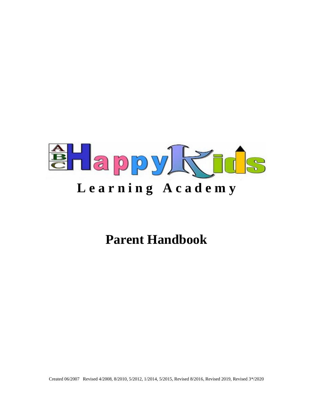

# **Parent Handbook**

Created 06/2007 Revised 4/2008, 8/2010, 5/2012, 1/2014, 5/2015, Revised 8/2016, Revised 2019, Revised 3\*/2020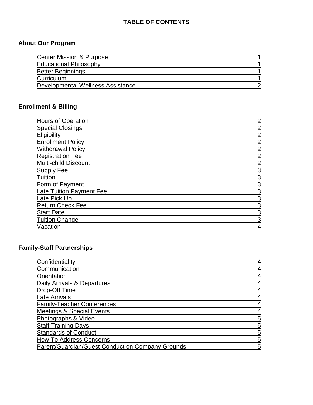# **TABLE OF CONTENTS**

# **About Our Program**

| <b>Center Mission &amp; Purpose</b> |  |
|-------------------------------------|--|
| <b>Educational Philosophy</b>       |  |
| <b>Better Beginnings</b>            |  |
| Curriculum                          |  |
| Developmental Wellness Assistance   |  |

# **Enrollment & Billing**

| <b>Hours of Operation</b>       | 2              |
|---------------------------------|----------------|
| <b>Special Closings</b>         | $\overline{2}$ |
| Eligibility                     | $\overline{2}$ |
| <b>Enrollment Policy</b>        | $\overline{2}$ |
| <b>Withdrawal Policy</b>        | $\overline{2}$ |
| <b>Registration Fee</b>         | $\overline{2}$ |
| <b>Multi-child Discount</b>     | $\overline{2}$ |
| Supply Fee                      | 3              |
| Tuition                         | 3              |
| Form of Payment                 | 3              |
| <b>Late Tuition Payment Fee</b> | 3              |
| Late Pick Up                    | 3              |
| <b>Return Check Fee</b>         | 3              |
| <b>Start Date</b>               | 3              |
| <b>Tuition Change</b>           | 3              |
| Vacation                        | 4              |

# **Family-Staff Partnerships**

| Confidentiality                                  |   |
|--------------------------------------------------|---|
| Communication                                    |   |
| Orientation                                      |   |
| Daily Arrivals & Departures                      | 4 |
| Drop-Off Time                                    |   |
| Late Arrivals                                    |   |
| <b>Family-Teacher Conferences</b>                |   |
| <b>Meetings &amp; Special Events</b>             |   |
| Photographs & Video                              | 5 |
| <b>Staff Training Days</b>                       | 5 |
| <b>Standards of Conduct</b>                      | 5 |
| <b>How To Address Concerns</b>                   | 5 |
| Parent/Guardian/Guest Conduct on Company Grounds | 5 |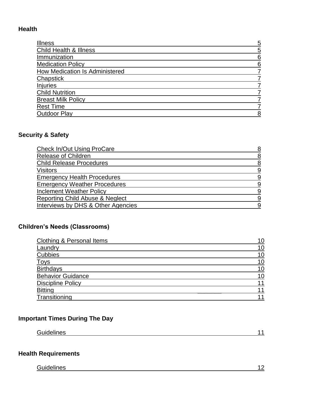# **Health**

| <b>Illness</b>                        | 5 |
|---------------------------------------|---|
| <b>Child Health &amp; Illness</b>     | 5 |
| Immunization                          | 6 |
| <b>Medication Policy</b>              | 6 |
| <b>How Medication Is Administered</b> |   |
| Chapstick                             |   |
| <b>Injuries</b>                       |   |
| <b>Child Nutrition</b>                |   |
| <b>Breast Milk Policy</b>             |   |
| <b>Rest Time</b>                      |   |
| <b>Outdoor Play</b>                   | 8 |

# **Security & Safety**

| <b>Check In/Out Using ProCare</b>   |          |
|-------------------------------------|----------|
| <b>Release of Children</b>          | 8        |
| <b>Child Release Procedures</b>     | 8        |
| Visitors                            | 9        |
| <b>Emergency Health Procedures</b>  | 9        |
| <b>Emergency Weather Procedures</b> | 9        |
| <b>Inclement Weather Policy</b>     | g        |
| Reporting Child Abuse & Neglect     | <u>g</u> |
| Interviews by DHS & Other Agencies  | g        |

# **Children's Needs (Classrooms)**

| Clothing & Personal Items |    |
|---------------------------|----|
| Laundry                   | 10 |
| <b>Cubbies</b>            | 10 |
| <b>Toys</b>               | 10 |
| <b>Birthdays</b>          | 10 |
| <b>Behavior Guidance</b>  | 10 |
| <b>Discipline Policy</b>  | 11 |
| <b>Bitting</b>            | 11 |
| Transitioning             | 11 |

# **Important Times During The Day**

# **Health Requirements**

Guidelines **Constantine Constantine Constantine Constantine Constantine Constantine Constantine Constantine Constantine Constantine Constantine Constantine Constantine Constantine Constantine Constantine Constantine Consta**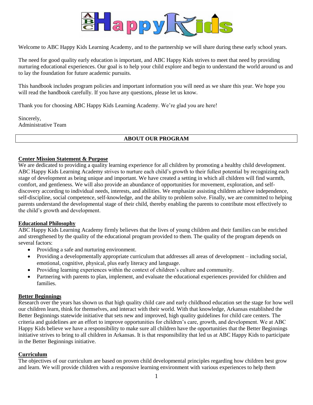

Welcome to ABC Happy Kids Learning Academy, and to the partnership we will share during these early school years.

The need for good quality early education is important, and ABC Happy Kids strives to meet that need by providing nurturing educational experiences. Our goal is to help your child explore and begin to understand the world around us and to lay the foundation for future academic pursuits.

This handbook includes program policies and important information you will need as we share this year. We hope you will read the handbook carefully. If you have any questions, please let us know.

Thank you for choosing ABC Happy Kids Learning Academy. We're glad you are here!

Sincerely, Administrative Team

## **ABOUT OUR PROGRAM**

# **Center Mission Statement & Purpose**

We are dedicated to providing a quality learning experience for all children by promoting a healthy child development. ABC Happy Kids Learning Academy strives to nurture each child's growth to their fullest potential by recognizing each stage of development as being unique and important. We have created a setting in which all children will find warmth, comfort, and gentleness. We will also provide an abundance of opportunities for movement, exploration, and selfdiscovery according to individual needs, interests, and abilities. We emphasize assisting children achieve independence, self-discipline, social competence, self-knowledge, and the ability to problem solve. Finally, we are committed to helping parents understand the developmental stage of their child, thereby enabling the parents to contribute most effectively to the child's growth and development.

## **Educational Philosophy**

ABC Happy Kids Learning Academy firmly believes that the lives of young children and their families can be enriched and strengthened by the quality of the educational program provided to them. The quality of the program depends on several factors:

- Providing a safe and nurturing environment.
- Providing a developmentally appropriate curriculum that addresses all areas of development including social, emotional, cognitive, physical, plus early literacy and language.
- Providing learning experiences within the context of children's culture and community.
- Partnering with parents to plan, implement, and evaluate the educational experiences provided for children and families.

#### **Better Beginnings**

Research over the years has shown us that high quality child care and early childhood education set the stage for how well our children learn, think for themselves, and interact with their world. With that knowledge, Arkansas established the Better Beginnings statewide initiative that sets new and improved, high quality guidelines for child care centers. The criteria and guidelines are an effort to improve opportunities for children's care, growth, and development. We at ABC Happy Kids believe we have a responsibility to make sure all children have the opportunities that the Better Beginnings initiative strives to bring to all children in Arkansas. It is that responsibility that led us at ABC Happy Kids to participate in the Better Beginnings initiative.

#### **Curriculum**

The objectives of our curriculum are based on proven child developmental principles regarding how children best grow and learn. We will provide children with a responsive learning environment with various experiences to help them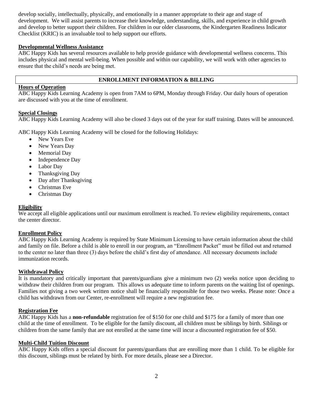develop socially, intellectually, physically, and emotionally in a manner appropriate to their age and stage of development. We will assist parents to increase their knowledge, understanding, skills, and experience in child growth and develop to better support their children. For children in our older classrooms, the Kindergarten Readiness Indicator Checklist (KRIC) is an invaluable tool to help support our efforts.

# **Developmental Wellness Assistance**

ABC Happy Kids has several resources available to help provide guidance with developmental wellness concerns. This includes physical and mental well-being. When possible and within our capability, we will work with other agencies to ensure that the child's needs are being met.

# **ENROLLMENT INFORMATION & BILLING**

# **Hours of Operation**

ABC Happy Kids Learning Academy is open from 7AM to 6PM, Monday through Friday. Our daily hours of operation are discussed with you at the time of enrollment.

# **Special Closings**

ABC Happy Kids Learning Academy will also be closed 3 days out of the year for staff training. Dates will be announced.

ABC Happy Kids Learning Academy will be closed for the following Holidays:

- New Years Eve
- New Years Day
- Memorial Day
- Independence Day
- Labor Day
- Thanksgiving Day
- Day after Thanksgiving
- Christmas Eve
- Christmas Day

## **Eligibility**

We accept all eligible applications until our maximum enrollment is reached. To review eligibility requirements, contact the center director.

## **Enrollment Policy**

ABC Happy Kids Learning Academy is required by State Minimum Licensing to have certain information about the child and family on file. Before a child is able to enroll in our program, an "Enrollment Packet" must be filled out and returned to the center no later than three (3) days before the child's first day of attendance. All necessary documents include immunization records.

## **Withdrawal Policy**

It is mandatory and critically important that parents/guardians give a minimum two (2) weeks notice upon deciding to withdraw their children from our program. This allows us adequate time to inform parents on the waiting list of openings. Families not giving a two week written notice shall be financially responsible for those two weeks. Please note: Once a child has withdrawn from our Center, re-enrollment will require a new registration fee.

## **Registration Fee**

ABC Happy Kids has a **non-refundable** registration fee of \$150 for one child and \$175 for a family of more than one child at the time of enrollment. To be eligible for the family discount, all children must be siblings by birth. Siblings or children from the same family that are not enrolled at the same time will incur a discounted registration fee of \$50.

## **Multi-Child Tuition Discount**

ABC Happy Kids offers a special discount for parents/guardians that are enrolling more than 1 child. To be eligible for this discount, siblings must be related by birth. For more details, please see a Director.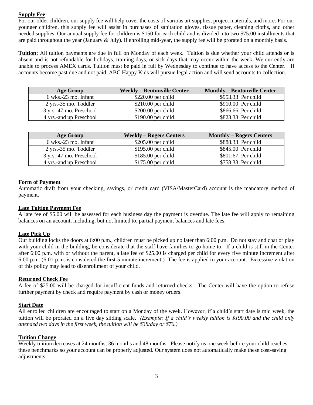# **Supply Fee**

For our older children, our supply fee will help cover the costs of various art supplies, project materials, and more. For our younger children, this supply fee will assist in purchases of sanitation gloves, tissue paper, cleaning cloths, and other needed supplies. Our annual supply fee for children is \$150 for each child and is divided into two \$75.00 installments that are paid throughout the year (January  $&$  July). If enrolling mid-year, the supply fee will be prorated on a monthly basis.

**Tuition:** All tuition payments are due in full on Monday of each week. Tuition is due whether your child attends or is absent and is not refundable for holidays, training days, or sick days that may occur within the week. We currently are unable to process AMEX cards. Tuition must be paid in full by Wednesday to continue to have access to the Center. If accounts become past due and not paid, ABC Happy Kids will pursue legal action and will send accounts to collection.

| <b>Age Group</b>                         | <b>Weekly – Bentonville Center</b> | <b>Monthly – Bentonville Center</b> |
|------------------------------------------|------------------------------------|-------------------------------------|
| $6$ wks.-23 mo. Infant                   | $$220.00$ per child                | \$953.33 Per child                  |
| $2 \text{ yrs.} -35 \text{ mo.}$ Toddler | $$210.00$ per child                | $$910.00$ Per child                 |
| 3 yrs.-47 mo. Preschool                  | $$200.00$ per child                | \$866.66 Per child                  |
| 4 yrs.-and up Preschool                  | $$190.00$ per child                | \$823.33 Per child                  |

| <b>Age Group</b>        | <b>Weekly – Rogers Centers</b> | <b>Monthly – Rogers Centers</b> |
|-------------------------|--------------------------------|---------------------------------|
| $6$ wks.-23 mo. Infant  | $$205.00$ per child            | \$888.33 Per child              |
| $2$ yrs.-35 mo. Toddler | $$195.00$ per child            | \$845.00 Per child              |
| 3 yrs.-47 mo. Preschool | $$185.00$ per child            | \$801.67 Per child              |
| 4 yrs.-and up Preschool | $$175.00$ per child            | \$758.33 Per child              |

# **Form of Payment**

Automatic draft from your checking, savings, or credit card (VISA/MasterCard) account is the mandatory method of payment.

# **Late Tuition Payment Fee**

A late fee of \$5.00 will be assessed for each business day the payment is overdue. The late fee will apply to remaining balances on an account, including, but not limited to, partial payment balances and late fees.

## **Late Pick Up**

Our building locks the doors at 6:00 p.m., children must be picked up no later than 6:00 p.m. Do not stay and chat or play with your child in the building, be considerate that the staff have families to go home to. If a child is still in the Center after 6:00 p.m. with or without the parent, a late fee of \$25.00 is charged per child for every five minute increment after 6:00 p.m. (6:01 p.m. is considered the first 5 minute increment.) The fee is applied to your account. Excessive violation of this policy may lead to disenrollment of your child.

## **Returned Check Fee**

A fee of \$25.00 will be charged for insufficient funds and returned checks. The Center will have the option to refuse further payment by check and require payment by cash or money orders.

## **Start Date**

All enrolled children are encouraged to start on a Monday of the week. However, if a child's start date is mid week, the tuition will be prorated on a five day sliding scale. *(Example: If a child's weekly tuition is \$190.00 and the child only attended two days in the first week, the tuition will be \$38/day or \$76.)*

## **Tuition Change**

Weekly tuition decreases at 24 months, 36 months and 48 months. Please notify us one week before your child reaches these benchmarks so your account can be properly adjusted. Our system does not automatically make these cost-saving adjustments.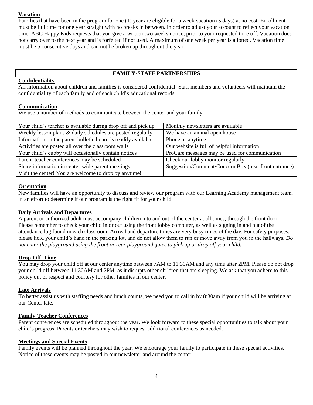## **Vacation**

Families that have been in the program for one (1) year are eligible for a week vacation (5 days) at no cost. Enrollment must be full time for one year straight with no breaks in between. In order to adjust your account to reflect your vacation time, ABC Happy Kids requests that you give a written two weeks notice, prior to your requested time off. Vacation does not carry over to the next year and is forfeited if not used. A maximum of one week per year is allotted. Vacation time must be 5 consecutive days and can not be broken up throughout the year.

# **FAMILY-STAFF PARTNERSHIPS**

# **Confidentiality**

All information about children and families is considered confidential. Staff members and volunteers will maintain the confidentiality of each family and of each child's educational records.

# **Communication**

We use a number of methods to communicate between the center and your family.

| Your child's teacher is available during drop off and pick up | Monthly newsletters are available                    |
|---------------------------------------------------------------|------------------------------------------------------|
| Weekly lesson plans & daily schedules are posted regularly    | We have an annual open house                         |
| Information on the parent bulletin board is readily available | Phone us anytime                                     |
| Activities are posted all over the classroom walls            | Our website is full of helpful information           |
| Your child's cubby will occasionally contain notices          | ProCare messages may be used for communication       |
| Parent-teacher conferences may be scheduled                   | Check our lobby monitor regularly                    |
| Share information in center-wide parent meetings              | Suggestion/Comment/Concern Box (near front entrance) |
| Visit the center! You are welcome to drop by anytime!         |                                                      |
|                                                               |                                                      |

## **Orientation**

New families will have an opportunity to discuss and review our program with our Learning Academy management team, in an effort to determine if our program is the right fit for your child.

# **Daily Arrivals and Departures**

A parent or authorized adult must accompany children into and out of the center at all times, through the front door. Please remember to check your child in or out using the front lobby computer, as well as signing in and out of the attendance log found in each classroom. Arrival and departure times are very busy times of the day. For safety purposes, please hold your child's hand in the parking lot, and do not allow them to run or move away from you in the hallways. *Do not enter the playground using the front or rear playground gates to pick up or drop off your child.* 

## **Drop-Off Time**

You may drop your child off at our center anytime between 7AM to 11:30AM and any time after 2PM. Please do not drop your child off between 11:30AM and 2PM, as it disrupts other children that are sleeping. We ask that you adhere to this policy out of respect and courtesy for other families in our center.

## **Late Arrivals**

To better assist us with staffing needs and lunch counts, we need you to call in by 8:30am if your child will be arriving at our Center late.

## **Family-Teacher Conferences**

Parent conferences are scheduled throughout the year. We look forward to these special opportunities to talk about your child's progress. Parents or teachers may wish to request additional conferences as needed.

## **Meetings and Special Events**

Family events will be planned throughout the year. We encourage your family to participate in these special activities. Notice of these events may be posted in our newsletter and around the center.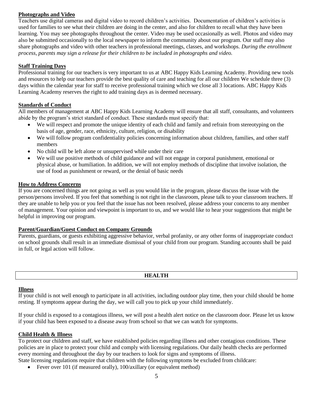# **Photographs and Video**

Teachers use digital cameras and digital video to record children's activities. Documentation of children's activities is used for families to see what their children are doing in the center, and also for children to recall what they have been learning. You may see photographs throughout the center. Video may be used occasionally as well. Photos and video may also be submitted occasionally to the local newspaper to inform the community about our program. Our staff may also share photographs and video with other teachers in professional meetings, classes, and workshops. *During the enrollment process, parents may sign a release for their children to be included in photographs and video.*

# **Staff Training Days**

Professional training for our teachers is very important to us at ABC Happy Kids Learning Academy. Providing new tools and resources to help our teachers provide the best quality of care and teaching for all our children We schedule three (3) days within the calendar year for staff to receive professional training which we close all 3 locations. ABC Happy Kids Learning Academy reserves the right to add training days as is deemed necessary.

# **Standards of Conduct**

All members of management at ABC Happy Kids Learning Academy will ensure that all staff, consultants, and volunteers abide by the program's strict standard of conduct. These standards must specify that:

- We will respect and promote the unique identity of each child and family and refrain from stereotyping on the basis of age, gender, race, ethnicity, culture, religion, or disability
- We will follow program confidentiality policies concerning information about children, families, and other staff members
- No child will be left alone or unsupervised while under their care
- We will use positive methods of child guidance and will not engage in corporal punishment, emotional or physical abuse, or humiliation. In addition, we will not employ methods of discipline that involve isolation, the use of food as punishment or reward, or the denial of basic needs

# **How to Address Concerns**

If you are concerned things are not going as well as you would like in the program, please discuss the issue with the person/persons involved. If you feel that something is not right in the classroom, please talk to your classroom teachers. If they are unable to help you or you feel that the issue has not been resolved, please address your concerns to any member of management. Your opinion and viewpoint is important to us, and we would like to hear your suggestions that might be helpful in improving our program.

## **Parent/Guardian/Guest Conduct on Company Grounds**

Parents, guardians, or guests exhibiting aggressive behavior, verbal profanity, or any other forms of inappropriate conduct on school grounds shall result in an immediate dismissal of your child from our program. Standing accounts shall be paid in full, or legal action will follow.

# **HEALTH**

## **Illness**

If your child is not well enough to participate in all activities, including outdoor play time, then your child should be home resting. If symptoms appear during the day, we will call you to pick up your child immediately.

If your child is exposed to a contagious illness, we will post a health alert notice on the classroom door. Please let us know if your child has been exposed to a disease away from school so that we can watch for symptoms.

## **Child Health & Illness**

To protect our children and staff, we have established policies regarding illness and other contagious conditions. These policies are in place to protect your child and comply with licensing regulations. Our daily health checks are performed every morning and throughout the day by our teachers to look for signs and symptoms of illness.

State licensing regulations require that children with the following symptoms be excluded from childcare:

• Fever over 101 (if measured orally), 100/axillary (or equivalent method)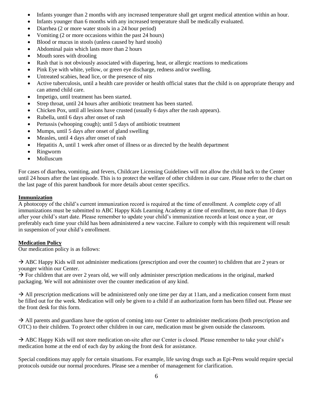- Infants younger than 2 months with any increased temperature shall get urgent medical attention within an hour.
- Infants younger than 6 months with any increased temperature shall be medically evaluated.
- Diarrhea (2 or more water stools in a 24 hour period)
- Vomiting (2 or more occasions within the past 24 hours)
- Blood or mucus in stools (unless caused by hard stools)
- Abdominal pain which lasts more than 2 hours
- Mouth sores with drooling
- Rash that is not obviously associated with diapering, heat, or allergic reactions to medications
- Pink Eye with white, yellow, or green eye discharge, redness and/or swelling.
- Untreated scabies, head lice, or the presence of nits
- Active tuberculosis, until a health care provider or health official states that the child is on appropriate therapy and can attend child care.
- Impetigo, until treatment has been started.
- Strep throat, until 24 hours after antibiotic treatment has been started.
- Chicken Pox, until all lesions have crusted (usually 6 days after the rash appears).
- Rubella, until 6 days after onset of rash
- Pertussis (whooping cough); until 5 days of antibiotic treatment
- Mumps, until 5 days after onset of gland swelling
- Measles, until 4 days after onset of rash
- Hepatitis A, until 1 week after onset of illness or as directed by the health department
- Ringworm
- Molluscum

For cases of diarrhea, vomiting, and fevers, Childcare Licensing Guidelines will not allow the child back to the Center until 24 hours after the last episode. This is to protect the welfare of other children in our care. Please refer to the chart on the last page of this parent handbook for more details about center specifics.

## **Immunization**

A photocopy of the child's current immunization record is required at the time of enrollment. A complete copy of all immunizations must be submitted to ABC Happy Kids Learning Academy at time of enrollment, no more than 10 days after your child's start date. Please remember to update your child's immunization records at least once a year, or preferably each time your child has been administered a new vaccine. Failure to comply with this requirement will result in suspension of your child's enrollment.

## **Medication Policy**

Our medication policy is as follows:

 $\rightarrow$  ABC Happy Kids will not administer medications (prescription and over the counter) to children that are 2 years or younger within our Center.

 $\rightarrow$  For children that are over 2 years old, we will only administer prescription medications in the original, marked packaging. We will not administer over the counter medication of any kind.

 $\rightarrow$  All prescription medications will be administered only one time per day at 11am, and a medication consent form must be filled out for the week. Medication will only be given to a child if an authorization form has been filled out. Please see the front desk for this form.

 $\rightarrow$  All parents and guardians have the option of coming into our Center to administer medications (both prescription and OTC) to their children. To protect other children in our care, medication must be given outside the classroom.

 $\rightarrow$  ABC Happy Kids will not store medication on-site after our Center is closed. Please remember to take your child's medication home at the end of each day by asking the front desk for assistance.

Special conditions may apply for certain situations. For example, life saving drugs such as Epi-Pens would require special protocols outside our normal procedures. Please see a member of management for clarification.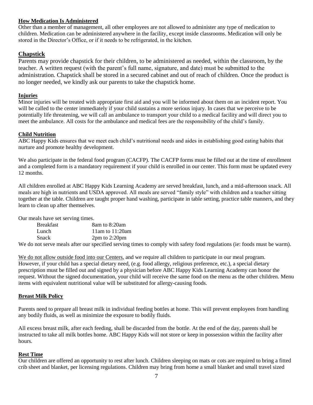# **How Medication Is Administered**

Other than a member of management, all other employees are not allowed to administer any type of medication to children. Medication can be administered anywhere in the facility, except inside classrooms. Medication will only be stored in the Director's Office, or if it needs to be refrigerated, in the kitchen.

# **Chapstick**

Parents may provide chapstick for their children, to be administered as needed, within the classroom, by the teacher. A written request (with the parent's full name, signature, and date) must be submitted to the administration. Chapstick shall be stored in a secured cabinet and out of reach of children. Once the product is no longer needed, we kindly ask our parents to take the chapstick home.

# **Injuries**

Minor injuries will be treated with appropriate first aid and you will be informed about them on an incident report. You will be called to the center immediately if your child sustains a more serious injury. In cases that we perceive to be potentially life threatening, we will call an ambulance to transport your child to a medical facility and will direct you to meet the ambulance. All costs for the ambulance and medical fees are the responsibility of the child's family.

## **Child Nutrition**

ABC Happy Kids ensures that we meet each child's nutritional needs and aides in establishing good eating habits that nurture and promote healthy development.

We also participate in the federal food program (CACFP). The CACFP forms must be filled out at the time of enrollment and a completed form is a mandatory requirement if your child is enrolled in our center. This form must be updated every 12 months.

All children enrolled at ABC Happy Kids Learning Academy are served breakfast, lunch, and a mid-afternoon snack. All meals are high in nutrients and USDA approved. All meals are served "family style" with children and a teacher sitting together at the table. Children are taught proper hand washing, participate in table setting, practice table manners, and they learn to clean up after themselves.

Our meals have set serving times.

| <b>Breakfast</b> | 8am to 8:20am                                                                                                           |
|------------------|-------------------------------------------------------------------------------------------------------------------------|
| Lunch            | 11am to $11:20$ am                                                                                                      |
| <b>Snack</b>     | $2pm$ to $2:20pm$                                                                                                       |
|                  | No do not serve meals after our specified serving times to comply with safety food regulations (ie: foods must be warm) |

We do not serve meals after our specified serving times to comply with safety food regulations (ie: foods must be warm).

We do not allow outside food into our Centers, and we require all children to participate in our meal program. However, if your child has a special dietary need, (e.g. food allergy, religious preference, etc.), a special dietary prescription must be filled out and signed by a physician before ABC Happy Kids Learning Academy can honor the request. Without the signed documentation, your child will receive the same food on the menu as the other children. Menu items with equivalent nutritional value will be substituted for allergy-causing foods.

## **Breast Milk Policy**

Parents need to prepare all breast milk in individual feeding bottles at home. This will prevent employees from handling any bodily fluids, as well as minimize the exposure to bodily fluids.

All excess breast milk, after each feeding, shall be discarded from the bottle. At the end of the day, parents shall be instructed to take all milk bottles home. ABC Happy Kids will not store or keep in possession within the facility after hours.

## **Rest Time**

Our children are offered an opportunity to rest after lunch. Children sleeping on mats or cots are required to bring a fitted crib sheet and blanket, per licensing regulations. Children may bring from home a small blanket and small travel sized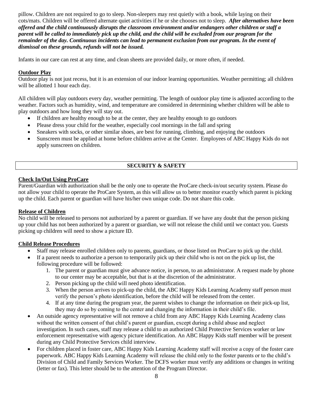pillow. Children are not required to go to sleep. Non-sleepers may rest quietly with a book, while laying on their cots/mats. Children will be offered alternate quiet activities if he or she chooses not to sleep. *After alternatives have been offered and the child continuously disrupts the classroom environment and/or endangers other children or staff a parent will be called to immediately pick up the child, and the child will be excluded from our program for the remainder of the day. Continuous incidents can lead to permanent exclusion from our program. In the event of dismissal on these grounds, refunds will not be issued.*

Infants in our care can rest at any time, and clean sheets are provided daily, or more often, if needed.

# **Outdoor Play**

Outdoor play is not just recess, but it is an extension of our indoor learning opportunities. Weather permitting; all children will be allotted 1 hour each day.

All children will play outdoors every day, weather permitting. The length of outdoor play time is adjusted according to the weather. Factors such as humidity, wind, and temperature are considered in determining whether children will be able to play outdoors and how long they will stay out.

- If children are healthy enough to be at the center, they are healthy enough to go outdoors
- Please dress your child for the weather, especially cool mornings in the fall and spring
- Sneakers with socks, or other similar shoes, are best for running, climbing, and enjoying the outdoors
- Sunscreen must be applied at home before children arrive at the Center. Employees of ABC Happy Kids do not apply sunscreen on children.

# **SECURITY & SAFETY**

# **Check In/Out Using ProCare**

Parent/Guardian with authorization shall be the only one to operate the ProCare check-in/out security system. Please do not allow your child to operate the ProCare System, as this will allow us to better monitor exactly which parent is picking up the child. Each parent or guardian will have his/her own unique code. Do not share this code.

## **Release of Children**

No child will be released to persons not authorized by a parent or guardian. If we have any doubt that the person picking up your child has not been authorized by a parent or guardian, we will not release the child until we contact you. Guests picking up children will need to show a picture ID.

## **Child Release Procedures**

- Staff may release enrolled children only to parents, guardians, or those listed on ProCare to pick up the child.
- If a parent needs to authorize a person to temporarily pick up their child who is not on the pick up list, the following procedure will be followed:
	- 1. The parent or guardian must give advance notice, in person, to an administrator. A request made by phone to our center may be acceptable, but that is at the discretion of the administrator.
	- 2. Person picking up the child will need photo identification.
	- 3. When the person arrives to pick-up the child, the ABC Happy Kids Learning Academy staff person must verify the person's photo identification, before the child will be released from the center.
	- 4. If at any time during the program year, the parent wishes to change the information on their pick-up list, they may do so by coming to the center and changing the information in their child's file.
- An outside agency representative will not remove a child from any ABC Happy Kids Learning Academy class without the written consent of that child's parent or guardian, except during a child abuse and neglect investigation. In such cases, staff may release a child to an authorized Child Protective Services worker or law enforcement representative with agency picture identification. An ABC Happy Kids staff member will be present during any Child Protective Services child interview.
- For children placed in foster care, ABC Happy Kids Learning Academy staff will receive a copy of the foster care paperwork. ABC Happy Kids Learning Academy will release the child only to the foster parents or to the child's Division of Child and Family Services Worker. The DCFS worker must verify any additions or changes in writing (letter or fax). This letter should be to the attention of the Program Director.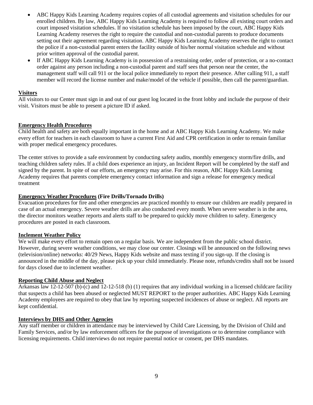- ABC Happy Kids Learning Academy requires copies of all custodial agreements and visitation schedules for our enrolled children. By law, ABC Happy Kids Learning Academy is required to follow all existing court orders and court imposed visitation schedules. If no visitation schedule has been imposed by the court, ABC Happy Kids Learning Academy reserves the right to require the custodial and non-custodial parents to produce documents setting out their agreement regarding visitation. ABC Happy Kids Learning Academy reserves the right to contact the police if a non-custodial parent enters the facility outside of his/her normal visitation schedule and without prior written approval of the custodial parent.
- If ABC Happy Kids Learning Academy is in possession of a restraining order, order of protection, or a no-contact order against any person including a non-custodial parent and staff sees that person near the center, the management staff will call 911 or the local police immediately to report their presence. After calling 911, a staff member will record the license number and make/model of the vehicle if possible, then call the parent/guardian.

# **Visitors**

All visitors to our Center must sign in and out of our guest log located in the front lobby and include the purpose of their visit. Visitors must be able to present a picture ID if asked.

# **Emergency Health Procedures**

Child health and safety are both equally important in the home and at ABC Happy Kids Learning Academy. We make every effort for teachers in each classroom to have a current First Aid and CPR certification in order to remain familiar with proper medical emergency procedures.

The center strives to provide a safe environment by conducting safety audits, monthly emergency storm/fire drills, and teaching children safety rules. If a child does experience an injury, an Incident Report will be completed by the staff and signed by the parent. In spite of our efforts, an emergency may arise. For this reason, ABC Happy Kids Learning Academy requires that parents complete emergency contact information and sign a release for emergency medical treatment

# **Emergency Weather Procedures (Fire Drills/Tornado Drills)**

Evacuation procedures for fire and other emergencies are practiced monthly to ensure our children are readily prepared in case of an actual emergency. Severe weather drills are also conducted every month. When severe weather is in the area, the director monitors weather reports and alerts staff to be prepared to quickly move children to safety. Emergency procedures are posted in each classroom.

## **Inclement Weather Policy**

We will make every effort to remain open on a regular basis. We are independent from the public school district. However, during severe weather conditions, we may close our center. Closings will be announced on the following news (television/online) networks: 40/29 News, Happy Kids website and mass texting if you sign-up. If the closing is announced in the middle of the day, please pick up your child immediately. Please note, refunds/credits shall not be issued for days closed due to inclement weather.

## **Reporting Child Abuse and Neglect**

Arkansas law 12-12-507 (b)-(c) and 12-12-518 (b) (1) requires that any individual working in a licensed childcare facility that suspects a child has been abused or neglected MUST REPORT to the proper authorities. ABC Happy Kids Learning Academy employees are required to obey that law by reporting suspected incidences of abuse or neglect. All reports are kept confidential.

## **Interviews by DHS and Other Agencies**

Any staff member or children in attendance may be interviewed by Child Care Licensing, by the Division of Child and Family Services, and/or by law enforcement officers for the purpose of investigations or to determine compliance with licensing requirements. Child interviews do not require parental notice or consent, per DHS mandates.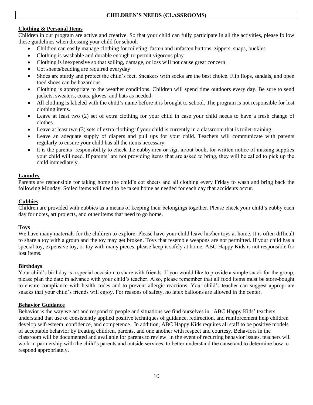# **Clothing & Personal Items**

Children in our program are active and creative. So that your child can fully participate in all the activities, please follow these guidelines when dressing your child for school.

- Children can easily manage clothing for toileting: fasten and unfasten buttons, zippers, snaps, buckles
- Clothing is washable and durable enough to permit vigorous play
- Clothing is inexpensive so that soiling, damage, or loss will not cause great concern
- Cot sheets/bedding are required everyday
- Shoes are sturdy and protect the child's feet. Sneakers with socks are the best choice. Flip flops, sandals, and open toed shoes can be hazardous.
- Clothing is appropriate to the weather conditions. Children will spend time outdoors every day. Be sure to send jackets, sweaters, coats, gloves, and hats as needed.
- All clothing is labeled with the child's name before it is brought to school. The program is not responsible for lost clothing items.
- Leave at least two (2) set of extra clothing for your child in case your child needs to have a fresh change of clothes.
- Leave at least two (3) sets of extra clothing if your child is currently in a classroom that is toilet-training.
- Leave an adequate supply of diapers and pull ups for your child. Teachers will communicate with parents regularly to ensure your child has all the items necessary.
- It is the parents' responsibility to check the cubby area or sign in/out book, for written notice of missing supplies your child will need. If parents' are not providing items that are asked to bring, they will be called to pick up the child immediately.

# **Laundry**

Parents are responsible for taking home the child's cot sheets and all clothing every Friday to wash and bring back the following Monday. Soiled items will need to be taken home as needed for each day that accidents occur.

# **Cubbies**

Children are provided with cubbies as a means of keeping their belongings together. Please check your child's cubby each day for notes, art projects, and other items that need to go home.

# **Toys**

We have many materials for the children to explore. Please have your child leave his/her toys at home. It is often difficult to share a toy with a group and the toy may get broken. Toys that resemble weapons are not permitted. If your child has a special toy, expensive toy, or toy with many pieces, please keep it safely at home. ABC Happy Kids is not responsible for lost items.

# **Birthdays**

Your child's birthday is a special occasion to share with friends. If you would like to provide a simple snack for the group, please plan the date in advance with your child's teacher. Also, please remember that all food items must be store-bought to ensure compliance with health codes and to prevent allergic reactions. Your child's teacher can suggest appropriate snacks that your child's friends will enjoy. For reasons of safety, no latex balloons are allowed in the center.

# **Behavior Guidance**

Behavior is the way we act and respond to people and situations we find ourselves in. ABC Happy Kids' teachers understand that use of consistently applied positive techniques of guidance, redirection, and reinforcement help children develop self-esteem, confidence, and competence. In addition, ABC Happy Kids requires all staff to be positive models of acceptable behavior by treating children, parents, and one another with respect and courtesy. Behaviors in the classroom will be documented and available for parents to review. In the event of recurring behavior issues, teachers will work in partnership with the child's parents and outside services, to better understand the cause and to determine how to respond appropriately.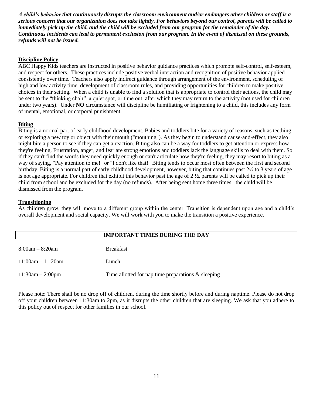*A child's behavior that continuously disrupts the classroom environment and/or endangers other children or staff is a serious concern that our organization does not take lightly. For behaviors beyond our control, parents will be called to immediately pick up the child, and the child will be excluded from our program for the remainder of the day. Continuous incidents can lead to permanent exclusion from our program. In the event of dismissal on these grounds, refunds will not be issued.*

## **Discipline Policy**

ABC Happy Kids teachers are instructed in positive behavior guidance practices which promote self-control, self-esteem, and respect for others. These practices include positive verbal interaction and recognition of positive behavior applied consistently over time. Teachers also apply indirect guidance through arrangement of the environment, scheduling of high and low activity time, development of classroom rules, and providing opportunities for children to make positive choices in their setting. When a child is unable to find a solution that is appropriate to control their actions, the child may be sent to the "thinking chair", a quiet spot, or time out, after which they may return to the activity (not used for children under two years). Under **NO** circumstance will discipline be humiliating or frightening to a child, this includes any form of mental, emotional, or corporal punishment.

#### **Biting**

Biting is a normal part of early childhood development. Babies and toddlers bite for a variety of reasons, such as teething or exploring a new toy or object with their mouth ("mouthing"). As they begin to understand cause-and-effect, they also might bite a person to see if they can get a reaction. Biting also can be a way for toddlers to get attention or express how they're feeling. Frustration, anger, and fear are strong emotions and toddlers lack the language skills to deal with them. So if they can't find the words they need quickly enough or can't articulate how they're feeling, they may resort to biting as a way of saying, "Pay attention to me!" or "I don't like that!" Biting tends to occur most often between the first and second birthday. Biting is a normal part of early childhood development, however, biting that continues past 2½ to 3 years of age is not age appropriate. For children that exhibit this behavior past the age of  $2\frac{1}{2}$ , parents will be called to pick up their child from school and be excluded for the day (no refunds). After being sent home three times, the child will be dismissed from the program.

#### **Transitioning**

As children grow, they will move to a different group within the center. Transition is dependent upon age and a child's overall development and social capacity. We will work with you to make the transition a positive experience.

|                     | <b>IMPORTANT TIMES DURING THE DAY</b>                 |
|---------------------|-------------------------------------------------------|
| $8:00am - 8:20am$   | <b>Breakfast</b>                                      |
| $11:00am - 11:20am$ | Lunch                                                 |
| $11:30am - 2:00pm$  | Time allotted for nap time preparations $\&$ sleeping |

Please note: There shall be no drop off of children, during the time shortly before and during naptime. Please do not drop off your children between 11:30am to 2pm, as it disrupts the other children that are sleeping. We ask that you adhere to this policy out of respect for other families in our school.